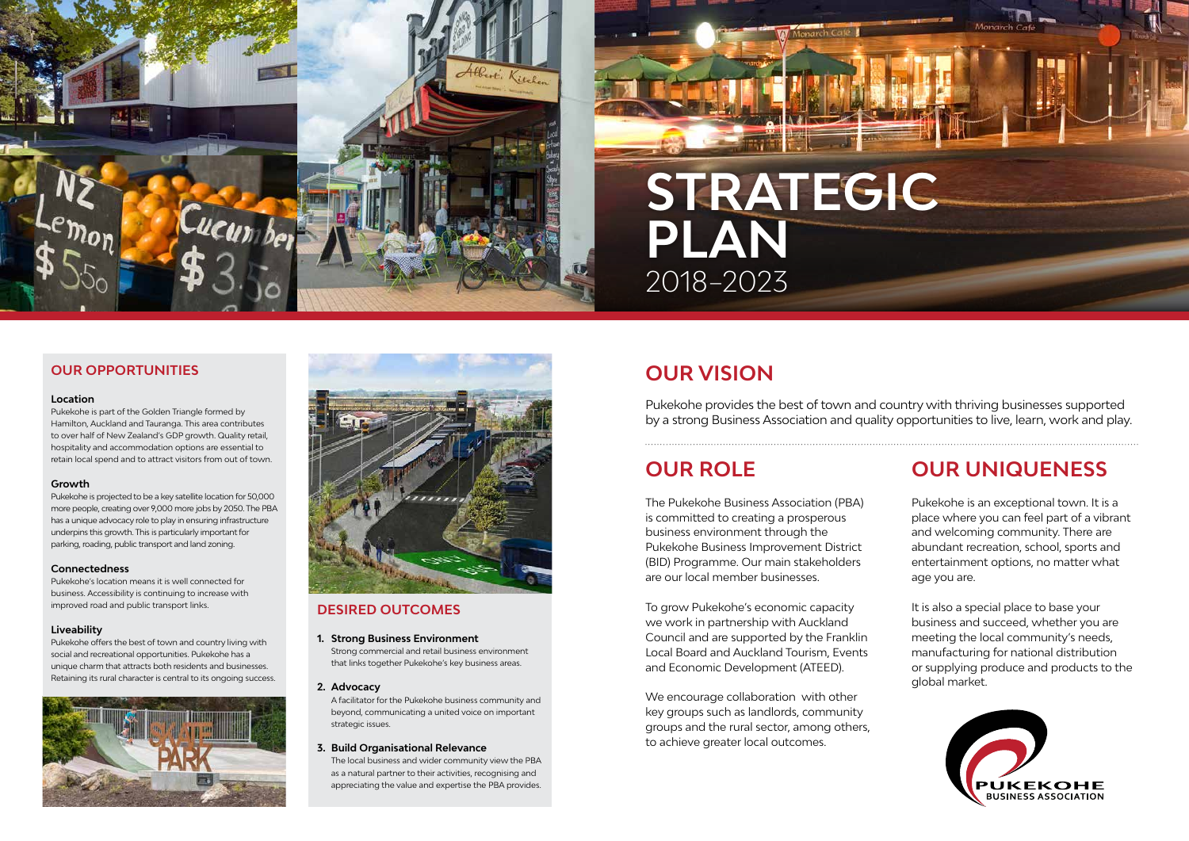## **OUR UNIQUENESS**

Pukekohe is an exceptional town. It is a place where you can feel part of a vibrant and welcoming community. There are abundant recreation, school, sports and entertainment options, no matter what age you are.

It is also a special place to base your business and succeed, whether you are meeting the local community's needs, manufacturing for national distribution or supplying produce and products to the global market.



#### **DESIRED OUTCOMES**

Pukekohe provides the best of town and country with thriving businesses supported by a strong Business Association and quality opportunities to live, learn, work and play.

#### **1. Strong Business Environment**

Strong commercial and retail business environment that links together Pukekohe's key business areas.

#### **2. Advocacy**

A facilitator for the Pukekohe business community and beyond, communicating a united voice on important strategic issues.

#### **3. Build Organisational Relevance**

The local business and wider community view the PBA as a natural partner to their activities, recognising and appreciating the value and expertise the PBA provides.

## **OUR VISION**

### **OUR ROLE**

The Pukekohe Business Association (PBA) is committed to creating a prosperous business environment through the Pukekohe Business Improvement District (BID) Programme. Our main stakeholders are our local member businesses.

To grow Pukekohe's economic capacity we work in partnership with Auckland Council and are supported by the Franklin Local Board and Auckland Tourism, Events and Economic Development (ATEED).

We encourage collaboration with other key groups such as landlords, community groups and the rural sector, among others, to achieve greater local outcomes.



#### **OUR OPPORTUNITIES**

#### **Location**

Pukekohe is part of the Golden Triangle formed by Hamilton, Auckland and Tauranga. This area contributes to over half of New Zealand's GDP growth. Quality retail, hospitality and accommodation options are essential to retain local spend and to attract visitors from out of town.

#### **Growth**

Pukekohe is projected to be a key satellite location for 50,000 more people, creating over 9,000 more jobs by 2050. The PBA has a unique advocacy role to play in ensuring infrastructure underpins this growth. This is particularly important for parking, roading, public transport and land zoning.

#### **Connectedness**

Pukekohe's location means it is well connected for business. Accessibility is continuing to increase with improved road and public transport links.

#### **Liveability**

Pukekohe offers the best of town and country living with social and recreational opportunities. Pukekohe has a unique charm that attracts both residents and businesses. Retaining its rural character is central to its ongoing success.